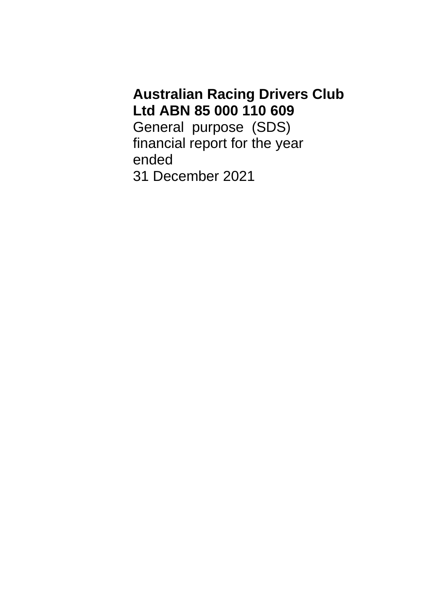# **Australian Racing Drivers Club Ltd ABN 85 000 110 609**

General purpose (SDS) financial report for the year ended 31 December 2021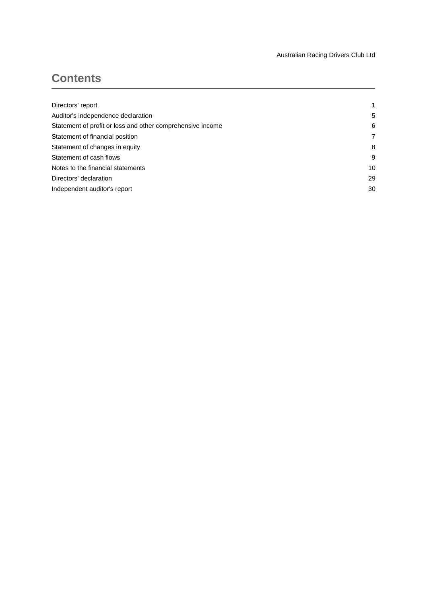# **Contents**

| Directors' report                                          | 1  |
|------------------------------------------------------------|----|
| Auditor's independence declaration                         | 5  |
| Statement of profit or loss and other comprehensive income | 6  |
| Statement of financial position                            | 7  |
| Statement of changes in equity                             | 8  |
| Statement of cash flows                                    | 9  |
| Notes to the financial statements                          | 10 |
| Directors' declaration                                     | 29 |
| Independent auditor's report                               | 30 |
|                                                            |    |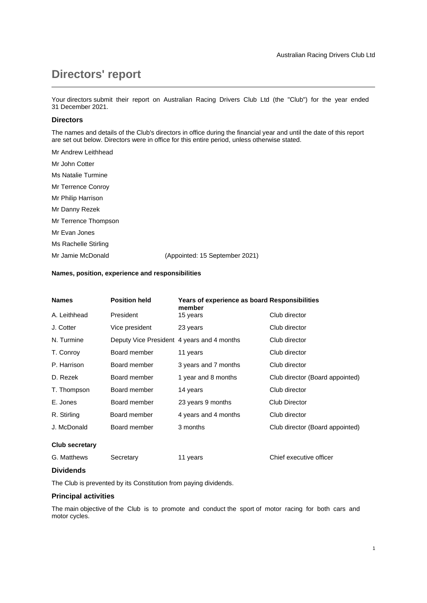# **Directors' report**

Your directors submit their report on Australian Racing Drivers Club Ltd (the "Club") for the year ended 31 December 2021.

#### **Directors**

The names and details of the Club's directors in office during the financial year and until the date of this report are set out below. Directors were in office for this entire period, unless otherwise stated.

| Mr Andrew Leithhead  |                                |
|----------------------|--------------------------------|
| Mr John Cotter       |                                |
| Ms Natalie Turmine   |                                |
| Mr Terrence Conroy   |                                |
| Mr Philip Harrison   |                                |
| Mr Danny Rezek       |                                |
| Mr Terrence Thompson |                                |
| Mr Evan Jones        |                                |
| Ms Rachelle Stirling |                                |
| Mr Jamie McDonald    | (Appointed: 15 September 2021) |
|                      |                                |

#### **Names, position, experience and responsibilities**

| <b>Names</b>          | <b>Position held</b>                       | <b>Years of experience as board Responsibilities</b><br>member |                                 |
|-----------------------|--------------------------------------------|----------------------------------------------------------------|---------------------------------|
| A. Leithhead          | President                                  | 15 years                                                       | Club director                   |
| J. Cotter             | Vice president                             | 23 years                                                       | Club director                   |
| N. Turmine            | Deputy Vice President 4 years and 4 months |                                                                | Club director                   |
| T. Conroy             | Board member                               | 11 years                                                       | Club director                   |
| P. Harrison           | Board member                               | 3 years and 7 months                                           | Club director                   |
| D. Rezek              | Board member                               | 1 year and 8 months                                            | Club director (Board appointed) |
| T. Thompson           | Board member                               | 14 years                                                       | Club director                   |
| E. Jones              | Board member                               | 23 years 9 months                                              | <b>Club Director</b>            |
| R. Stirling           | Board member                               | 4 years and 4 months                                           | Club director                   |
| J. McDonald           | Board member                               | 3 months                                                       | Club director (Board appointed) |
| <b>Club secretary</b> |                                            |                                                                |                                 |
| G. Matthews           | Secretary                                  | 11 years                                                       | Chief executive officer         |

#### **Dividends**

The Club is prevented by its Constitution from paying dividends.

#### **Principal activities**

The main objective of the Club is to promote and conduct the sport of motor racing for both cars and motor cycles.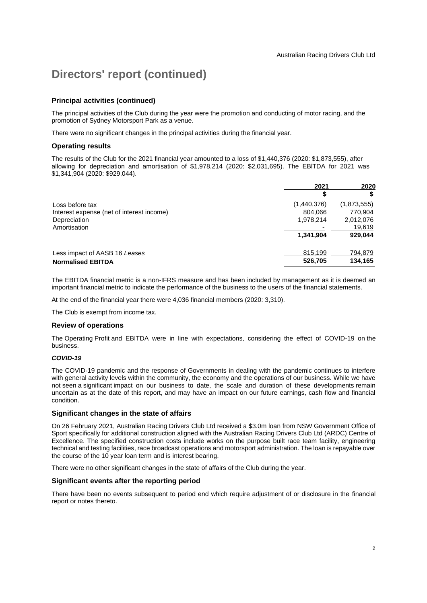# **Directors' report (continued)**

## **Principal activities (continued)**

The principal activities of the Club during the year were the promotion and conducting of motor racing, and the promotion of Sydney Motorsport Park as a venue.

There were no significant changes in the principal activities during the financial year.

#### **Operating results**

The results of the Club for the 2021 financial year amounted to a loss of \$1,440,376 (2020: \$1,873,555), after allowing for depreciation and amortisation of \$1,978,214 (2020: \$2,031,695). The EBlTDA for 2021 was \$1,341,904 (2020: \$929,044).

|                                           | 2021        | 2020        |
|-------------------------------------------|-------------|-------------|
|                                           |             |             |
| Loss before tax                           | (1,440,376) | (1,873,555) |
| Interest expense (net of interest income) | 804,066     | 770,904     |
| Depreciation                              | 1,978,214   | 2,012,076   |
| Amortisation                              |             | 19,619      |
|                                           | 1,341,904   | 929.044     |
| Less impact of AASB 16 Leases             | 815,199     | 794,879     |
| <b>Normalised EBITDA</b>                  | 526,705     | 134,165     |

The EBITDA financial metric is a non-IFRS measure and has been included by management as it is deemed an important financial metric to indicate the performance of the business to the users of the financial statements.

At the end of the financial year there were 4,036 financial members (2020: 3,310).

The Club is exempt from income tax.

#### **Review of operations**

The Operating Profit and EBITDA were in line with expectations, considering the effect of COVID-19 on the business.

### *COVID-19*

The COVID-19 pandemic and the response of Governments in dealing with the pandemic continues to interfere with general activity levels within the community, the economy and the operations of our business. While we have not seen a significant impact on our business to date, the scale and duration of these developments remain uncertain as at the date of this report, and may have an impact on our future earnings, cash flow and financial condition.

#### **Significant changes in the state of affairs**

On 26 February 2021, Australian Racing Drivers Club Ltd received a \$3.0m loan from NSW Government Office of Sport specifically for additional construction aligned with the Australian Racing Drivers Club Ltd (ARDC) Centre of Excellence. The specified construction costs include works on the purpose built race team facility, engineering technical and testing facilities, race broadcast operations and motorsport administration. The loan is repayable over the course of the 10 year loan term and is interest bearing.

There were no other significant changes in the state of affairs of the Club during the year.

#### **Significant events after the reporting period**

There have been no events subsequent to period end which require adjustment of or disclosure in the financial report or notes thereto.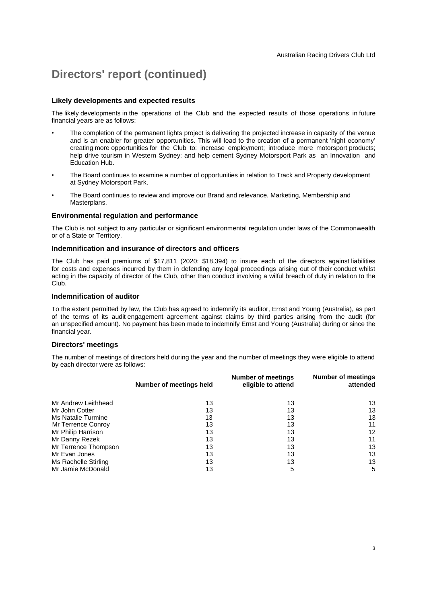# **Directors' report (continued)**

### **Likely developments and expected results**

The likely developments in the operations of the Club and the expected results of those operations in future financial years are as follows:

- The completion of the permanent lights project is delivering the projected increase in capacity of the venue and is an enabler for greater opportunities. This will lead to the creation of a permanent 'night economy' creating more opportunities for the Club to: increase employment; introduce more motorsport products; help drive tourism in Western Sydney; and help cement Sydney Motorsport Park as an Innovation and Education Hub.
- The Board continues to examine a number of opportunities in relation to Track and Property development at Sydney Motorsport Park.
- The Board continues to review and improve our Brand and relevance, Marketing, Membership and Masterplans.

#### **Environmental regulation and performance**

The Club is not subject to any particular or significant environmental regulation under laws of the Commonwealth or of a State or Territory.

#### **Indemnification and insurance of directors and officers**

The Club has paid premiums of \$17,811 (2020: \$18,394) to insure each of the directors against liabilities for costs and expenses incurred by them in defending any legal proceedings arising out of their conduct whilst acting in the capacity of director of the Club, other than conduct involving a wilful breach of duty in relation to the Club.

### **Indemnification of auditor**

To the extent permitted by law, the Club has agreed to indemnify its auditor, Ernst and Young (Australia), as part of the terms of its audit engagement agreement against claims by third parties arising from the audit (for an unspecified amount). No payment has been made to indemnify Ernst and Young (Australia) during or since the financial year.

#### **Directors' meetings**

The number of meetings of directors held during the year and the number of meetings they were eligible to attend by each director were as follows:

|                      | <b>Number of meetings held</b> | <b>Number of meetings</b><br>eligible to attend | <b>Number of meetings</b><br>attended |
|----------------------|--------------------------------|-------------------------------------------------|---------------------------------------|
|                      |                                |                                                 |                                       |
| Mr Andrew Leithhead  | 13                             | 13                                              | 13                                    |
| Mr John Cotter       | 13                             | 13                                              | 13                                    |
| Ms Natalie Turmine   | 13                             | 13                                              | 13                                    |
| Mr Terrence Conroy   | 13                             | 13                                              | 11                                    |
| Mr Philip Harrison   | 13                             | 13                                              | 12                                    |
| Mr Danny Rezek       | 13                             | 13                                              | 11                                    |
| Mr Terrence Thompson | 13                             | 13                                              | 13                                    |
| Mr Evan Jones        | 13                             | 13                                              | 13                                    |
| Ms Rachelle Stirling | 13                             | 13                                              | 13                                    |
| Mr Jamie McDonald    | 13                             | 5                                               | 5                                     |
|                      |                                |                                                 |                                       |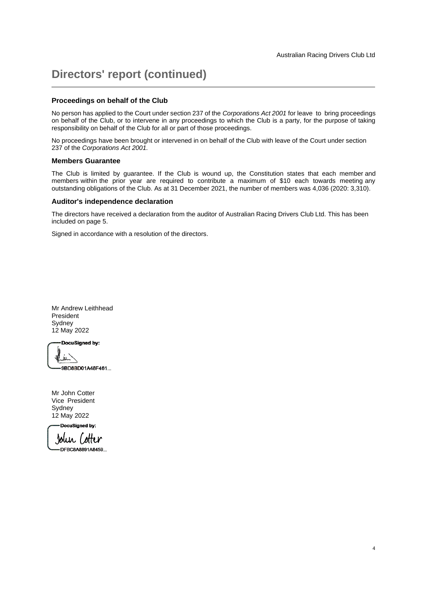# **Directors' report (continued)**

## **Proceedings on behalf of the Club**

No person has applied to the Court under section 237 of the *Corporations Act 2001* for leave to bring proceedings on behalf of the Club, or to intervene in any proceedings to which the Club is a party, for the purpose of taking responsibility on behalf of the Club for all or part of those proceedings.

No proceedings have been brought or intervened in on behalf of the Club with leave of the Court under section 237 of the *Corporations Act 2001.*

#### **Members Guarantee**

The Club is limited by guarantee. If the Club is wound up, the Constitution states that each member and members within the prior year are required to contribute a maximum of \$10 each towards meeting any outstanding obligations of the Club. As at 31 December 2021, the number of members was 4,036 (2020: 3,310).

#### **Auditor's independence declaration**

The directors have received a declaration from the auditor of Australian Racing Drivers Club Ltd. This has been included on page 5.

Signed in accordance with a resolution of the directors.

Mr Andrew Leithhead President Sydney 12 May 2022



Mr John Cotter Vice President Sydney 12 May 2022

DocuSigned by: John (otter -DFBC8A8891A8459...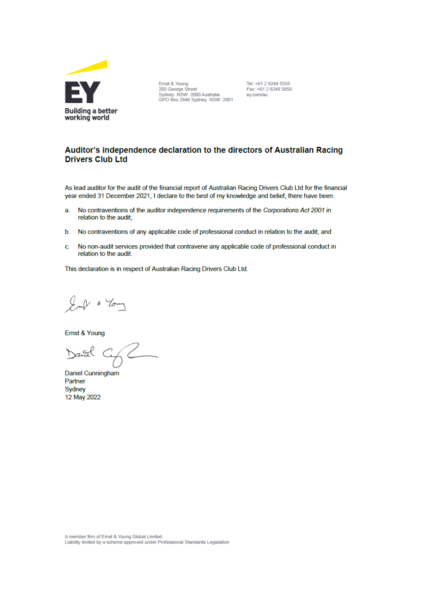

Ernst & Young<br>200 George Street<br>Sydney NSW 2000 Australia<br>GPO Box 2646 Sydney NSW 2001

Tel: +61 2 9248 5555 Fax: +61 2 9248 5959 ey.com/au

## Auditor's independence declaration to the directors of Australian Racing **Drivers Club Ltd**

As lead auditor for the audit of the financial report of Australian Racing Drivers Club Ltd for the financial year ended 31 December 2021, I declare to the best of my knowledge and belief, there have been:

- No contraventions of the auditor independence requirements of the Corporations Act 2001 in  $\mathbf{a}$ relation to the audit:
- No contraventions of any applicable code of professional conduct in relation to the audit; and b.
- No non-audit services provided that contravene any applicable code of professional conduct in C. relation to the audit.

This declaration is in respect of Australian Racing Drivers Club Ltd.

Emb & Young

Ernst & Young

David Cy 2

Daniel Cunningham Partner Sydney 12 May 2022

A member firm of Ernst & Young Global Limited

Liability limited by a scheme approved under Professional Standards Legislation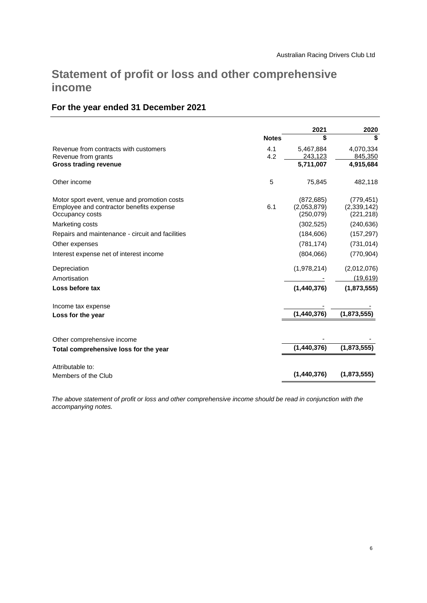# **Statement of profit or loss and other comprehensive income**

## **For the year ended 31 December 2021**

|                                                                                                             |              | 2021                                   | 2020                                    |
|-------------------------------------------------------------------------------------------------------------|--------------|----------------------------------------|-----------------------------------------|
|                                                                                                             | <b>Notes</b> | \$                                     |                                         |
| Revenue from contracts with customers                                                                       | 4.1          | 5,467,884                              | 4,070,334                               |
| Revenue from grants                                                                                         | 4.2          | 243,123                                | 845,350                                 |
| <b>Gross trading revenue</b>                                                                                |              | 5,711,007                              | 4,915,684                               |
| Other income                                                                                                | 5            | 75,845                                 | 482,118                                 |
| Motor sport event, venue and promotion costs<br>Employee and contractor benefits expense<br>Occupancy costs | 6.1          | (872, 685)<br>(2,053,879)<br>(250,079) | (779, 451)<br>(2,339,142)<br>(221, 218) |
| Marketing costs                                                                                             |              | (302, 525)                             | (240, 636)                              |
| Repairs and maintenance - circuit and facilities                                                            |              | (184, 606)                             | (157, 297)                              |
| Other expenses                                                                                              |              | (781, 174)                             | (731, 014)                              |
| Interest expense net of interest income                                                                     |              | (804,066)                              | (770, 904)                              |
| Depreciation                                                                                                |              | (1,978,214)                            | (2,012,076)                             |
| Amortisation                                                                                                |              |                                        | (19,619)                                |
| Loss before tax                                                                                             |              | (1,440,376)                            | (1,873,555)                             |
| Income tax expense                                                                                          |              |                                        |                                         |
| Loss for the year                                                                                           |              | (1,440,376)                            | (1,873,555)                             |
| Other comprehensive income                                                                                  |              |                                        |                                         |
| Total comprehensive loss for the year                                                                       |              | (1,440,376)                            | (1,873,555)                             |
| Attributable to:                                                                                            |              | (1,440,376)                            | (1,873,555)                             |
| Members of the Club                                                                                         |              |                                        |                                         |

*The above statement of profit or loss and other comprehensive income should be read in conjunction with the accompanying notes.*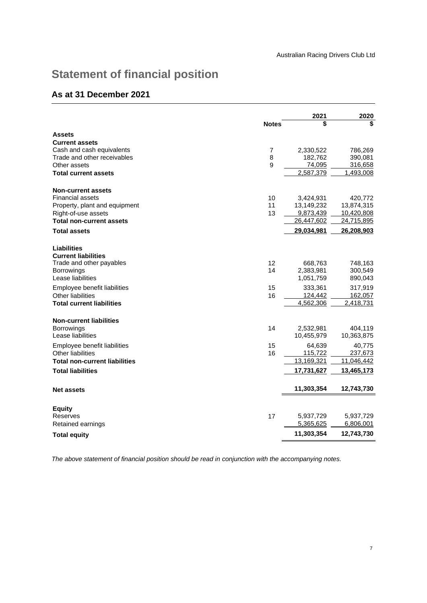# **Statement of financial position**

## **As at 31 December 2021**

|                                                        |              | 2021                  | 2020               |
|--------------------------------------------------------|--------------|-----------------------|--------------------|
|                                                        | <b>Notes</b> | \$                    | S                  |
| <b>Assets</b>                                          |              |                       |                    |
| <b>Current assets</b>                                  |              |                       |                    |
| Cash and cash equivalents                              | 7            | 2,330,522             | 786,269            |
| Trade and other receivables<br>Other assets            | 8<br>9       | 182,762<br>74,095     | 390,081<br>316,658 |
| <b>Total current assets</b>                            |              | 2,587,379             | 1,493,008          |
|                                                        |              |                       |                    |
| <b>Non-current assets</b>                              |              |                       |                    |
| <b>Financial assets</b>                                | 10           | 3,424,931             | 420,772            |
| Property, plant and equipment                          | 11           | 13,149,232            | 13,874,315         |
| Right-of-use assets                                    | 13           | 9,873,439             | 10,420,808         |
| <b>Total non-current assets</b>                        |              | 26,447,602            | 24,715,895         |
| <b>Total assets</b>                                    |              | 29,034,981            | 26,208,903         |
|                                                        |              |                       |                    |
| <b>Liabilities</b>                                     |              |                       |                    |
| <b>Current liabilities</b><br>Trade and other payables | 12           | 668,763               |                    |
| <b>Borrowings</b>                                      | 14           | 2,383,981             | 748,163<br>300,549 |
| Lease liabilities                                      |              | 1,051,759             | 890,043            |
| Employee benefit liabilities                           | 15           | 333,361               | 317,919            |
| Other liabilities                                      | 16           | 124,442               | <u>162,057</u>     |
| <b>Total current liabilities</b>                       |              | 4,562,306             | 2,418,731          |
|                                                        |              |                       |                    |
| <b>Non-current liabilities</b>                         |              |                       |                    |
| Borrowings                                             | 14           | 2,532,981             | 404,119            |
| Lease liabilities                                      |              | 10,455,979            | 10,363,875         |
| Employee benefit liabilities                           | 15           | 64,639                | 40,775             |
| <b>Other liabilities</b>                               | 16           | 115,722<br>13,169,321 | 237,673            |
| <b>Total non-current liabilities</b>                   |              |                       | 11,046,442         |
| <b>Total liabilities</b>                               |              | 17,731,627            | 13,465,173         |
| <b>Net assets</b>                                      |              | 11,303,354            | 12,743,730         |
|                                                        |              |                       |                    |
| <b>Equity</b>                                          |              |                       |                    |
| Reserves                                               | 17           | 5,937,729             | 5,937,729          |
| Retained earnings                                      |              | 5,365,625             | 6,806,001          |
| <b>Total equity</b>                                    |              | 11,303,354            | 12,743,730         |

*The above statement of financial position should be read in conjunction with the accompanying notes.*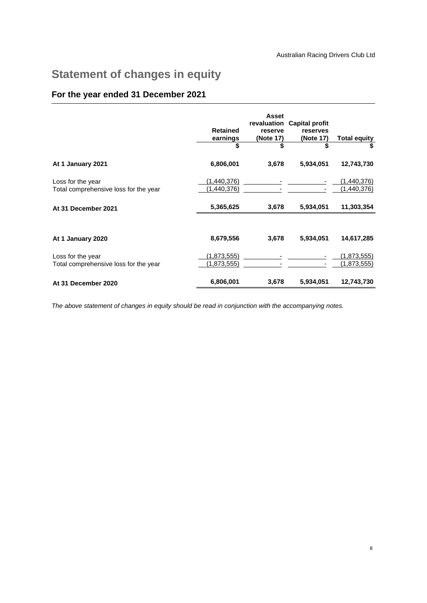# **Statement of changes in equity**

## **For the year ended 31 December 2021**

|                                       | <b>Retained</b><br>earnings<br>\$ | <b>Asset</b><br>revaluation<br>reserve<br>(Note 17)<br>\$ | <b>Capital profit</b><br>reserves<br>(Note 17)<br>\$ | <b>Total equity</b><br>\$ |
|---------------------------------------|-----------------------------------|-----------------------------------------------------------|------------------------------------------------------|---------------------------|
|                                       |                                   |                                                           |                                                      |                           |
| At 1 January 2021                     | 6,806,001                         | 3,678                                                     | 5,934,051                                            | 12,743,730                |
| Loss for the year                     | (1,440,376)                       |                                                           |                                                      | (1,440,376)               |
| Total comprehensive loss for the year | (1,440,376)                       |                                                           |                                                      | (1,440,376)               |
| At 31 December 2021                   | 5,365,625                         | 3,678                                                     | 5,934,051                                            | 11,303,354                |
| At 1 January 2020                     | 8,679,556                         | 3,678                                                     | 5,934,051                                            | 14,617,285                |
| Loss for the year                     | <u>(1,873,555)</u>                |                                                           |                                                      | <u>(1,873,555)</u>        |
| Total comprehensive loss for the year | <u>(1,873,555)</u>                |                                                           |                                                      | (1,873,555)               |
| At 31 December 2020                   | 6,806,001                         | 3,678                                                     | 5,934,051                                            | 12,743,730                |

*The above statement of changes in equity should be read in conjunction with the accompanying notes.*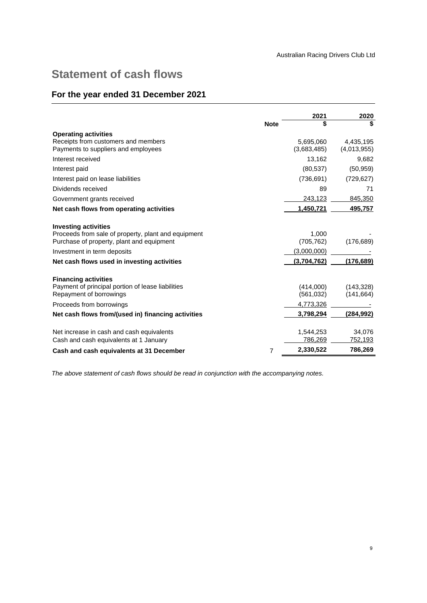# **Statement of cash flows**

## **For the year ended 31 December 2021**

|                                                                                                                                 |             | 2021                   | 2020                     |
|---------------------------------------------------------------------------------------------------------------------------------|-------------|------------------------|--------------------------|
|                                                                                                                                 | <b>Note</b> | \$                     | \$                       |
| <b>Operating activities</b>                                                                                                     |             |                        |                          |
| Receipts from customers and members                                                                                             |             | 5,695,060              | 4,435,195                |
| Payments to suppliers and employees                                                                                             |             | (3,683,485)            | (4,013,955)              |
| Interest received                                                                                                               |             | 13,162                 | 9,682                    |
| Interest paid                                                                                                                   |             | (80, 537)              | (50, 959)                |
| Interest paid on lease liabilities                                                                                              |             | (736, 691)             | (729, 627)               |
| Dividends received                                                                                                              |             | 89                     | 71                       |
| Government grants received                                                                                                      |             | 243,123                | 845,350                  |
| Net cash flows from operating activities                                                                                        |             | 1,450,721              | 495,757                  |
| <b>Investing activities</b><br>Proceeds from sale of property, plant and equipment<br>Purchase of property, plant and equipment |             | 1,000<br>(705, 762)    | (176, 689)               |
| Investment in term deposits                                                                                                     |             | (3,000,000)            |                          |
| Net cash flows used in investing activities                                                                                     |             | (3,704,762)            | (176, 689)               |
| <b>Financing activities</b><br>Payment of principal portion of lease liabilities<br>Repayment of borrowings                     |             | (414,000)<br>(561,032) | (143, 328)<br>(141, 664) |
| Proceeds from borrowings                                                                                                        |             | 4,773,326              |                          |
|                                                                                                                                 |             |                        |                          |
| Net cash flows from/(used in) financing activities                                                                              |             | 3,798,294              | (284,992)                |
| Net increase in cash and cash equivalents<br>Cash and cash equivalents at 1 January                                             |             | 1,544,253<br>786,269   | 34,076<br>752,193        |
| Cash and cash equivalents at 31 December                                                                                        | 7           | 2,330,522              | 786,269                  |

*The above statement of cash flows should be read in conjunction with the accompanying notes.*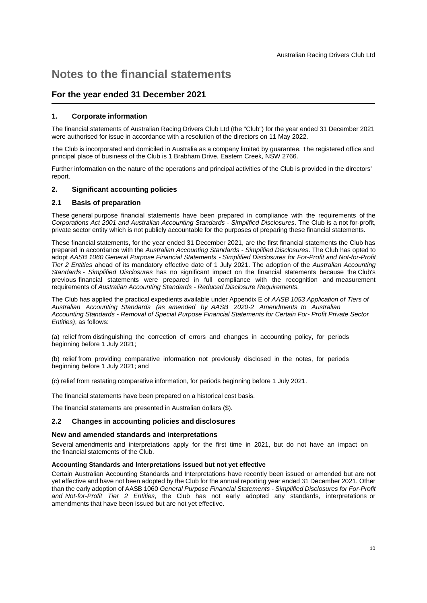# **Notes to the financial statements**

## **For the year ended 31 December 2021**

## **1. Corporate information**

The financial statements of Australian Racing Drivers Club Ltd (the "Club") for the year ended 31 December 2021 were authorised for issue in accordance with a resolution of the directors on 11 May 2022.

The Club is incorporated and domiciled in Australia as a company limited by guarantee. The registered office and principal place of business of the Club is 1 Brabham Drive, Eastern Creek, NSW 2766.

Further information on the nature of the operations and principal activities of the Club is provided in the directors' report.

### **2. Significant accounting policies**

### **2.1 Basis of preparation**

These general purpose financial statements have been prepared in compliance with the requirements of the *Corporations Act 2001 and Australian Accounting Standards - Simplified Disclosures*. The Club is a not for-profit, private sector entity which is not publicly accountable for the purposes of preparing these financial statements.

These financial statements, for the year ended 31 December 2021, are the first financial statements the Club has prepared in accordance with the *Australian Accounting Standards - Simplified Disclosures*. The Club has opted to adopt *AASB 1060 General Purpose Financial Statements - Simplified Disclosures for For-Profit and Not-for-Profit Tier 2 Entities* ahead of its mandatory effective date of 1 July 2021. The adoption of the *Australian Accounting Standards - Simplified Disclosures* has no significant impact on the financial statements because the Club's previous financial statements were prepared in full compliance with the recognition and measurement requirements of *Australian Accounting Standards - Reduced Disclosure Requirements.*

The Club has applied the practical expedients available under Appendix E of *AASB 1053 Application of Tiers of Australian Accounting Standards (as amended by AASB 2020-2 Amendments to Australian Accounting Standards - Removal of Special Purpose Financial Statements for Certain For- Profit Private Sector Entities)*, as follows:

(a) relief from distinguishing the correction of errors and changes in accounting policy, for periods beginning before 1 July 2021;

(b) relief from providing comparative information not previously disclosed in the notes, for periods beginning before 1 July 2021; and

(c) relief from restating comparative information, for periods beginning before 1 July 2021.

The financial statements have been prepared on a historical cost basis.

The financial statements are presented in Australian dollars (\$).

#### **2.2 Changes in accounting policies and disclosures**

#### **New and amended standards and interpretations**

Several amendments and interpretations apply for the first time in 2021, but do not have an impact on the financial statements of the Club.

#### **Accounting Standards and Interpretations issued but not yet effective**

Certain Australian Accounting Standards and Interpretations have recently been issued or amended but are not yet effective and have not been adopted by the Club for the annual reporting year ended 31 December 2021. Other than the early adoption of AASB 1060 *General Purpose Financial Statements - Simplified Disclosures for For-Profit and Not-for-Profit Tier 2 Entities*, the Club has not early adopted any standards, interpretations or amendments that have been issued but are not yet effective.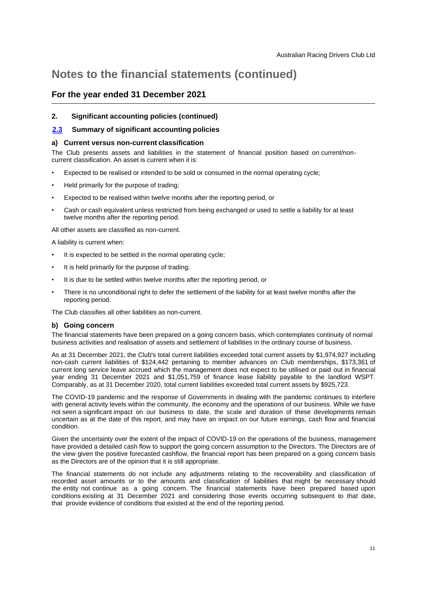## **For the year ended 31 December 2021**

### **2. Significant accounting policies (continued)**

### **2.3 Summary of significant accounting policies**

#### **a) Current versus non-current classification**

The Club presents assets and liabilities in the statement of financial position based on current/noncurrent classification. An asset is current when it is:

- Expected to be realised or intended to be sold or consumed in the normal operating cycle;
- Held primarily for the purpose of trading;
- Expected to be realised within twelve months after the reporting period, or
- Cash or cash equivalent unless restricted from being exchanged or used to settle a liability for at least twelve months after the reporting period.

All other assets are classified as non-current.

A liability is current when:

- It is expected to be settled in the normal operating cycle;
- It is held primarily for the purpose of trading;
- It is due to be settled within twelve months after the reporting period, or
- There is no unconditional right to defer the settlement of the liability for at least twelve months after the reporting period.

The Club classifies all other liabilities as non-current.

#### **b) Going concern**

The financial statements have been prepared on a going concern basis, which contemplates continuity of normal business activities and realisation of assets and settlement of liabilities in the ordinary course of business.

As at 31 December 2021, the Club's total current liabilities exceeded total current assets by \$1,974,927 including non-cash current liabilities of \$124,442 pertaining to member advances on Club memberships, \$173,361 of current long service leave accrued which the management does not expect to be utilised or paid out in financial year ending 31 December 2021 and \$1,051,759 of finance lease liability payable to the landlord WSPT. Comparably, as at 31 December 2020, total current liabilities exceeded total current assets by \$925,723.

The COVID-19 pandemic and the response of Governments in dealing with the pandemic continues to interfere with general activity levels within the community, the economy and the operations of our business. While we have not seen a significant impact on our business to date, the scale and duration of these developments remain uncertain as at the date of this report, and may have an impact on our future earnings, cash flow and financial condition.

Given the uncertainty over the extent of the impact of COVID-19 on the operations of the business, management have provided a detailed cash flow to support the going concern assumption to the Directors. The Directors are of the view given the positive forecasted cashflow, the financial report has been prepared on a going concern basis as the Directors are of the opinion that it is still appropriate.

The financial statements do not include any adjustments relating to the recoverability and classification of recorded asset amounts or to the amounts and classification of liabilities that might be necessary should the entity not continue as a going concern. The financial statements have been prepared based upon conditions existing at 31 December 2021 and considering those events occurring subsequent to that date, that provide evidence of conditions that existed at the end of the reporting period.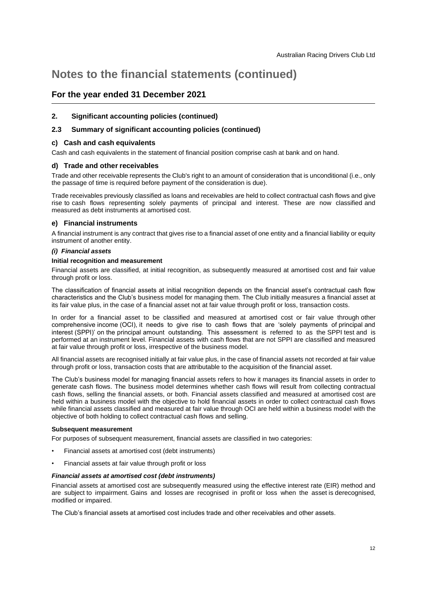## **For the year ended 31 December 2021**

## **2. Significant accounting policies (continued)**

## **2.3 Summary of significant accounting policies (continued)**

#### **c) Cash and cash equivalents**

Cash and cash equivalents in the statement of financial position comprise cash at bank and on hand.

#### **d) Trade and other receivables**

Trade and other receivable represents the Club's right to an amount of consideration that is unconditional (i.e., only the passage of time is required before payment of the consideration is due).

Trade receivables previously classified as loans and receivables are held to collect contractual cash flows and give rise to cash flows representing solely payments of principal and interest. These are now classified and measured as debt instruments at amortised cost.

#### **e) Financial instruments**

A financial instrument is any contract that gives rise to a financial asset of one entity and a financial liability or equity instrument of another entity.

#### *(i) Financial assets*

#### **Initial recognition and measurement**

Financial assets are classified, at initial recognition, as subsequently measured at amortised cost and fair value through profit or loss.

The classification of financial assets at initial recognition depends on the financial asset's contractual cash flow characteristics and the Club's business model for managing them. The Club initially measures a financial asset at its fair value plus, in the case of a financial asset not at fair value through profit or loss, transaction costs.

In order for a financial asset to be classified and measured at amortised cost or fair value through other comprehensive income (OCI), it needs to give rise to cash flows that are 'solely payments of principal and interest (SPPI)' on the principal amount outstanding. This assessment is referred to as the SPPI test and is performed at an instrument level. Financial assets with cash flows that are not SPPI are classified and measured at fair value through profit or loss, irrespective of the business model.

All financial assets are recognised initially at fair value plus, in the case of financial assets not recorded at fair value through profit or loss, transaction costs that are attributable to the acquisition of the financial asset.

The Club's business model for managing financial assets refers to how it manages its financial assets in order to generate cash flows. The business model determines whether cash flows will result from collecting contractual cash flows, selling the financial assets, or both. Financial assets classified and measured at amortised cost are held within a business model with the objective to hold financial assets in order to collect contractual cash flows while financial assets classified and measured at fair value through OCI are held within a business model with the objective of both holding to collect contractual cash flows and selling.

#### **Subsequent measurement**

For purposes of subsequent measurement, financial assets are classified in two categories:

- Financial assets at amortised cost (debt instruments)
- Financial assets at fair value through profit or loss

#### *Financial assets at amortised cost (debt instruments)*

Financial assets at amortised cost are subsequently measured using the effective interest rate (EIR) method and are subject to impairment. Gains and losses are recognised in profit or loss when the asset is derecognised, modified or impaired.

The Club's financial assets at amortised cost includes trade and other receivables and other assets.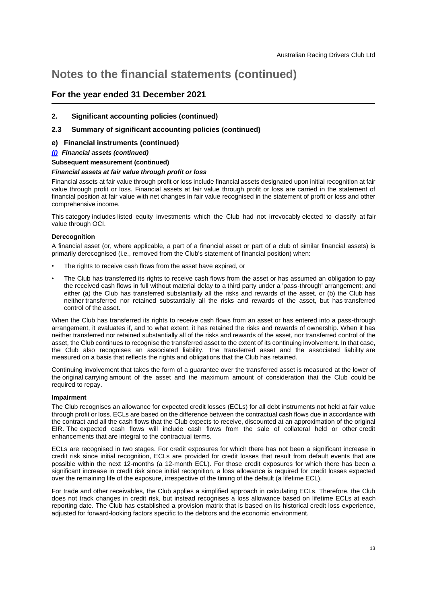## **For the year ended 31 December 2021**

### **2. Significant accounting policies (continued)**

## **2.3 Summary of significant accounting policies (continued)**

### **e) Financial instruments (continued)**

## *(i) Financial assets (continued)*

#### **Subsequent measurement (continued)**

#### *Financial assets at fair value through profit or loss*

Financial assets at fair value through profit or loss include financial assets designated upon initial recognition at fair value through profit or loss. Financial assets at fair value through profit or loss are carried in the statement of financial position at fair value with net changes in fair value recognised in the statement of profit or loss and other comprehensive income.

This category includes listed equity investments which the Club had not irrevocably elected to classify at fair value through OCI.

#### **Derecognition**

A financial asset (or, where applicable, a part of a financial asset or part of a club of similar financial assets) is primarily derecognised (i.e., removed from the Club's statement of financial position) when:

- The rights to receive cash flows from the asset have expired, or
- The Club has transferred its rights to receive cash flows from the asset or has assumed an obligation to pay the received cash flows in full without material delay to a third party under a 'pass-through' arrangement; and either (a) the Club has transferred substantially all the risks and rewards of the asset, or (b) the Club has neither transferred nor retained substantially all the risks and rewards of the asset, but has transferred control of the asset.

When the Club has transferred its rights to receive cash flows from an asset or has entered into a pass-through arrangement, it evaluates if, and to what extent, it has retained the risks and rewards of ownership. When it has neither transferred nor retained substantially all of the risks and rewards of the asset, nor transferred control of the asset, the Club continues to recognise the transferred asset to the extent of its continuing involvement. In that case, the Club also recognises an associated liability. The transferred asset and the associated liability are measured on a basis that reflects the rights and obligations that the Club has retained.

Continuing involvement that takes the form of a guarantee over the transferred asset is measured at the lower of the original carrying amount of the asset and the maximum amount of consideration that the Club could be required to repay.

#### **Impairment**

The Club recognises an allowance for expected credit losses (ECLs) for all debt instruments not held at fair value through profit or loss. ECLs are based on the difference between the contractual cash flows due in accordance with the contract and all the cash flows that the Club expects to receive, discounted at an approximation of the original EIR. The expected cash flows will include cash flows from the sale of collateral held or other credit enhancements that are integral to the contractual terms.

ECLs are recognised in two stages. For credit exposures for which there has not been a significant increase in credit risk since initial recognition, ECLs are provided for credit losses that result from default events that are possible within the next 12-months (a 12-month ECL). For those credit exposures for which there has been a significant increase in credit risk since initial recognition, a loss allowance is required for credit losses expected over the remaining life of the exposure, irrespective of the timing of the default (a lifetime ECL).

For trade and other receivables, the Club applies a simplified approach in calculating ECLs. Therefore, the Club does not track changes in credit risk, but instead recognises a loss allowance based on lifetime ECLs at each reporting date. The Club has established a provision matrix that is based on its historical credit loss experience, adjusted for forward-looking factors specific to the debtors and the economic environment.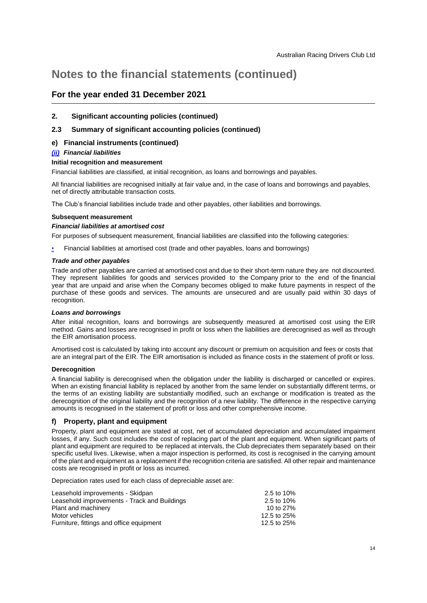## **For the year ended 31 December 2021**

### **2. Significant accounting policies (continued)**

### **2.3 Summary of significant accounting policies (continued)**

#### **e) Financial instruments (continued)**

## *(ii) Financial liabilities*

#### **Initial recognition and measurement**

Financial liabilities are classified, at initial recognition, as loans and borrowings and payables.

All financial liabilities are recognised initially at fair value and, in the case of loans and borrowings and payables, net of directly attributable transaction costs.

The Club's financial liabilities include trade and other payables, other liabilities and borrowings.

#### **Subsequent measurement**

#### *Financial liabilities at amortised cost*

For purposes of subsequent measurement, financial liabilities are classified into the following categories:

• Financial liabilities at amortised cost (trade and other payables, loans and borrowings)

#### *Trade and other payables*

Trade and other payables are carried at amortised cost and due to their short-term nature they are not discounted. They represent liabilities for goods and services provided to the Company prior to the end of the financial year that are unpaid and arise when the Company becomes obliged to make future payments in respect of the purchase of these goods and services. The amounts are unsecured and are usually paid within 30 days of recognition.

#### *Loans and borrowings*

After initial recognition, loans and borrowings are subsequently measured at amortised cost using the EIR method. Gains and losses are recognised in profit or loss when the liabilities are derecognised as well as through the EIR amortisation process.

Amortised cost is calculated by taking into account any discount or premium on acquisition and fees or costs that are an integral part of the EIR. The EIR amortisation is included as finance costs in the statement of profit or loss.

#### **Derecognition**

A financial liability is derecognised when the obligation under the liability is discharged or cancelled or expires. When an existing financial liability is replaced by another from the same lender on substantially different terms, or the terms of an existing liability are substantially modified, such an exchange or modification is treated as the derecognition of the original liability and the recognition of a new liability. The difference in the respective carrying amounts is recognised in the statement of profit or loss and other comprehensive income.

#### **f) Property, plant and equipment**

Property, plant and equipment are stated at cost, net of accumulated depreciation and accumulated impairment losses, if any. Such cost includes the cost of replacing part of the plant and equipment. When significant parts of plant and equipment are required to be replaced at intervals, the Club depreciates them separately based on their specific useful lives. Likewise, when a major inspection is performed, its cost is recognised in the carrying amount of the plant and equipment as a replacement if the recognition criteria are satisfied. All other repair and maintenance costs are recognised in profit or loss as incurred.

Depreciation rates used for each class of depreciable asset are:

| Leasehold improvements - Skidpan             | 2.5 to $10\%$ |
|----------------------------------------------|---------------|
| Leasehold improvements - Track and Buildings | 2.5 to 10%    |
| Plant and machinery                          | 10 to 27%     |
| Motor vehicles                               | 12.5 to 25%   |
| Furniture, fittings and office equipment     | 12.5 to 25%   |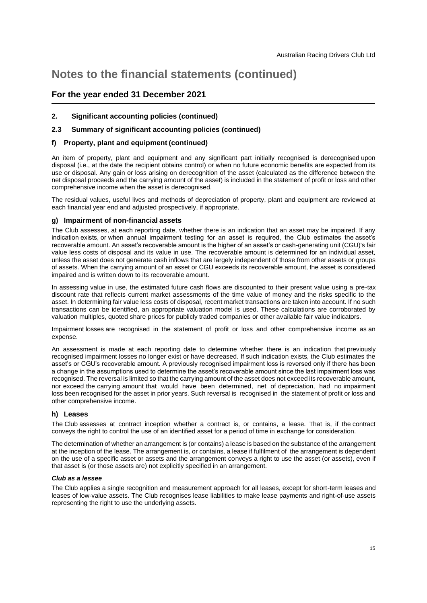## **For the year ended 31 December 2021**

## **2. Significant accounting policies (continued)**

## **2.3 Summary of significant accounting policies (continued)**

## **f) Property, plant and equipment (continued)**

An item of property, plant and equipment and any significant part initially recognised is derecognised upon disposal (i.e., at the date the recipient obtains control) or when no future economic benefits are expected from its use or disposal. Any gain or loss arising on derecognition of the asset (calculated as the difference between the net disposal proceeds and the carrying amount of the asset) is included in the statement of profit or loss and other comprehensive income when the asset is derecognised.

The residual values, useful lives and methods of depreciation of property, plant and equipment are reviewed at each financial year end and adjusted prospectively, if appropriate.

### **g) Impairment of non-financial assets**

The Club assesses, at each reporting date, whether there is an indication that an asset may be impaired. If any indication exists, or when annual impairment testing for an asset is required, the Club estimates the asset's recoverable amount. An asset's recoverable amount is the higher of an asset's or cash-generating unit (CGU)'s fair value less costs of disposal and its value in use. The recoverable amount is determined for an individual asset, unless the asset does not generate cash inflows that are largely independent of those from other assets or groups of assets. When the carrying amount of an asset or CGU exceeds its recoverable amount, the asset is considered impaired and is written down to its recoverable amount.

In assessing value in use, the estimated future cash flows are discounted to their present value using a pre-tax discount rate that reflects current market assessments of the time value of money and the risks specific to the asset. In determining fair value less costs of disposal, recent market transactions are taken into account. If no such transactions can be identified, an appropriate valuation model is used. These calculations are corroborated by valuation multiples, quoted share prices for publicly traded companies or other available fair value indicators.

Impairment losses are recognised in the statement of profit or loss and other comprehensive income as an expense.

An assessment is made at each reporting date to determine whether there is an indication that previously recognised impairment losses no longer exist or have decreased. If such indication exists, the Club estimates the asset's or CGU's recoverable amount. A previously recognised impairment loss is reversed only if there has been a change in the assumptions used to determine the asset's recoverable amount since the last impairment loss was recognised. The reversal is limited so that the carrying amount of the asset does not exceed its recoverable amount, nor exceed the carrying amount that would have been determined, net of depreciation, had no impairment loss been recognised for the asset in prior years. Such reversal is recognised in the statement of profit or loss and other comprehensive income.

### **h) Leases**

The Club assesses at contract inception whether a contract is, or contains, a lease. That is, if the contract conveys the right to control the use of an identified asset for a period of time in exchange for consideration.

The determination of whether an arrangement is (or contains) a lease is based on the substance of the arrangement at the inception of the lease. The arrangement is, or contains, a lease if fulfilment of the arrangement is dependent on the use of a specific asset or assets and the arrangement conveys a right to use the asset (or assets), even if that asset is (or those assets are) not explicitly specified in an arrangement.

#### *Club as a lessee*

The Club applies a single recognition and measurement approach for all leases, except for short-term leases and leases of low-value assets. The Club recognises lease liabilities to make lease payments and right-of-use assets representing the right to use the underlying assets.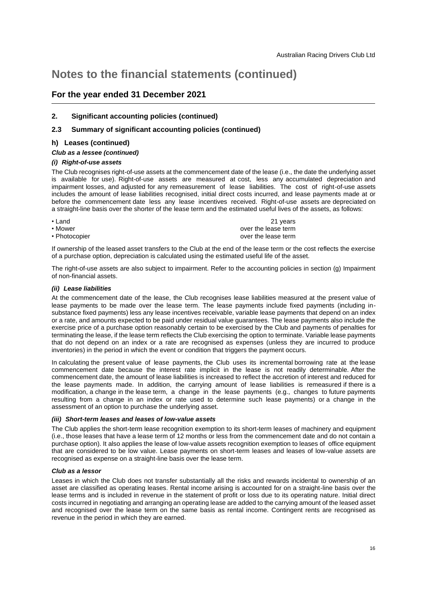## **For the year ended 31 December 2021**

### **2. Significant accounting policies (continued)**

## **2.3 Summary of significant accounting policies (continued)**

#### **h) Leases (continued)**

#### *Club as a lessee (continued)*

#### *(i) Right-of-use assets*

The Club recognises right-of-use assets at the commencement date of the lease (i.e., the date the underlying asset is available for use). Right-of-use assets are measured at cost, less any accumulated depreciation and impairment losses, and adjusted for any remeasurement of lease liabilities. The cost of right-of-use assets includes the amount of lease liabilities recognised, initial direct costs incurred, and lease payments made at or before the commencement date less any lease incentives received. Right-of-use assets are depreciated on a straight-line basis over the shorter of the lease term and the estimated useful lives of the assets, as follows:

| $\cdot$ Land  | 21 years            |
|---------------|---------------------|
| • Mower       | over the lease term |
| • Photocopier | over the lease term |

If ownership of the leased asset transfers to the Club at the end of the lease term or the cost reflects the exercise of a purchase option, depreciation is calculated using the estimated useful life of the asset.

The right-of-use assets are also subject to impairment. Refer to the accounting policies in section (g) Impairment of non-financial assets.

### *(ii) Lease liabilities*

At the commencement date of the lease, the Club recognises lease liabilities measured at the present value of lease payments to be made over the lease term. The lease payments include fixed payments (including insubstance fixed payments) less any lease incentives receivable, variable lease payments that depend on an index or a rate, and amounts expected to be paid under residual value guarantees. The lease payments also include the exercise price of a purchase option reasonably certain to be exercised by the Club and payments of penalties for terminating the lease, if the lease term reflects the Club exercising the option to terminate. Variable lease payments that do not depend on an index or a rate are recognised as expenses (unless they are incurred to produce inventories) in the period in which the event or condition that triggers the payment occurs.

In calculating the present value of lease payments, the Club uses its incremental borrowing rate at the lease commencement date because the interest rate implicit in the lease is not readily determinable. After the commencement date, the amount of lease liabilities is increased to reflect the accretion of interest and reduced for the lease payments made. In addition, the carrying amount of lease liabilities is remeasured if there is a modification, a change in the lease term, a change in the lease payments (e.g., changes to future payments resulting from a change in an index or rate used to determine such lease payments) or a change in the assessment of an option to purchase the underlying asset.

#### *(iii) Short-term leases and leases of low-value assets*

The Club applies the short-term lease recognition exemption to its short-term leases of machinery and equipment (i.e., those leases that have a lease term of 12 months or less from the commencement date and do not contain a purchase option). It also applies the lease of low-value assets recognition exemption to leases of office equipment that are considered to be low value. Lease payments on short-term leases and leases of low-value assets are recognised as expense on a straight-line basis over the lease term.

### *Club as a lessor*

Leases in which the Club does not transfer substantially all the risks and rewards incidental to ownership of an asset are classified as operating leases. Rental income arising is accounted for on a straight-line basis over the lease terms and is included in revenue in the statement of profit or loss due to its operating nature. Initial direct costs incurred in negotiating and arranging an operating lease are added to the carrying amount of the leased asset and recognised over the lease term on the same basis as rental income. Contingent rents are recognised as revenue in the period in which they are earned.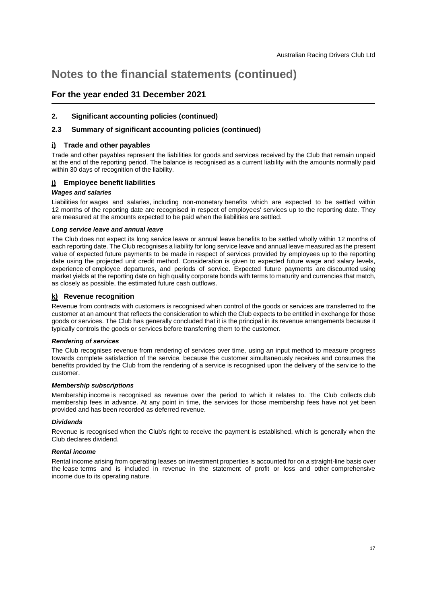## **For the year ended 31 December 2021**

## **2. Significant accounting policies (continued)**

## **2.3 Summary of significant accounting policies (continued)**

#### **i) Trade and other payables**

Trade and other payables represent the liabilities for goods and services received by the Club that remain unpaid at the end of the reporting period. The balance is recognised as a current liability with the amounts normally paid within 30 days of recognition of the liability.

## **j) Employee benefit liabilities**

#### *Wages and salaries*

Liabilities for wages and salaries, including non-monetary benefits which are expected to be settled within 12 months of the reporting date are recognised in respect of employees' services up to the reporting date. They are measured at the amounts expected to be paid when the liabilities are settled.

#### *Long service leave and annual leave*

The Club does not expect its long service leave or annual leave benefits to be settled wholly within 12 months of each reporting date. The Club recognises a liability for long service leave and annual leave measured as the present value of expected future payments to be made in respect of services provided by employees up to the reporting date using the projected unit credit method. Consideration is given to expected future wage and salary levels, experience of employee departures, and periods of service. Expected future payments are discounted using market yields at the reporting date on high quality corporate bonds with terms to maturity and currencies that match, as closely as possible, the estimated future cash outflows.

### **k) Revenue recognition**

Revenue from contracts with customers is recognised when control of the goods or services are transferred to the customer at an amount that reflects the consideration to which the Club expects to be entitled in exchange for those goods or services. The Club has generally concluded that it is the principal in its revenue arrangements because it typically controls the goods or services before transferring them to the customer.

#### *Rendering of services*

The Club recognises revenue from rendering of services over time, using an input method to measure progress towards complete satisfaction of the service, because the customer simultaneously receives and consumes the benefits provided by the Club from the rendering of a service is recognised upon the delivery of the service to the customer.

#### *Membership subscriptions*

Membership income is recognised as revenue over the period to which it relates to. The Club collects club membership fees in advance. At any point in time, the services for those membership fees have not yet been provided and has been recorded as deferred revenue.

#### *Dividends*

Revenue is recognised when the Club's right to receive the payment is established, which is generally when the Club declares dividend.

#### *Rental income*

Rental income arising from operating leases on investment properties is accounted for on a straight-line basis over the lease terms and is included in revenue in the statement of profit or loss and other comprehensive income due to its operating nature.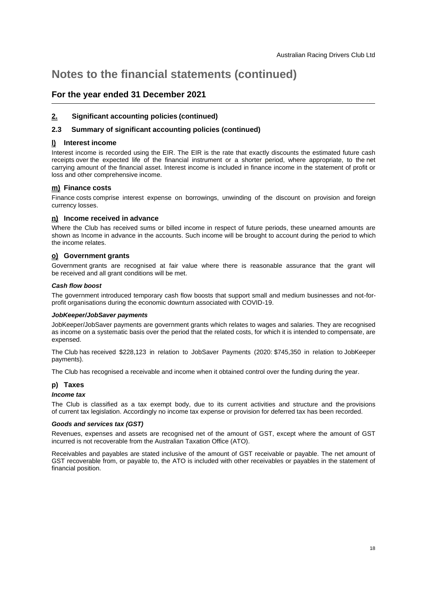## **For the year ended 31 December 2021**

## **2. Significant accounting policies (continued)**

## **2.3 Summary of significant accounting policies (continued)**

#### **l) Interest income**

Interest income is recorded using the EIR. The EIR is the rate that exactly discounts the estimated future cash receipts over the expected life of the financial instrument or a shorter period, where appropriate, to the net carrying amount of the financial asset. Interest income is included in finance income in the statement of profit or loss and other comprehensive income.

### **m) Finance costs**

Finance costs comprise interest expense on borrowings, unwinding of the discount on provision and foreign currency losses.

#### **n) Income received in advance**

Where the Club has received sums or billed income in respect of future periods, these unearned amounts are shown as Income in advance in the accounts. Such income will be brought to account during the period to which the income relates.

## **o) Government grants**

Government grants are recognised at fair value where there is reasonable assurance that the grant will be received and all grant conditions will be met.

#### *Cash flow boost*

The government introduced temporary cash flow boosts that support small and medium businesses and not-forprofit organisations during the economic downturn associated with COVID-19.

#### *JobKeeper/JobSaver payments*

JobKeeper/JobSaver payments are government grants which relates to wages and salaries. They are recognised as income on a systematic basis over the period that the related costs, for which it is intended to compensate, are expensed.

The Club has received \$228,123 in relation to JobSaver Payments (2020: \$745,350 in relation to JobKeeper payments).

The Club has recognised a receivable and income when it obtained control over the funding during the year.

### **p) Taxes**

### *Income tax*

The Club is classified as a tax exempt body, due to its current activities and structure and the provisions of current tax legislation. Accordingly no income tax expense or provision for deferred tax has been recorded.

#### *Goods and services tax (GST)*

Revenues, expenses and assets are recognised net of the amount of GST, except where the amount of GST incurred is not recoverable from the Australian Taxation Office (ATO).

Receivables and payables are stated inclusive of the amount of GST receivable or payable. The net amount of GST recoverable from, or payable to, the ATO is included with other receivables or payables in the statement of financial position.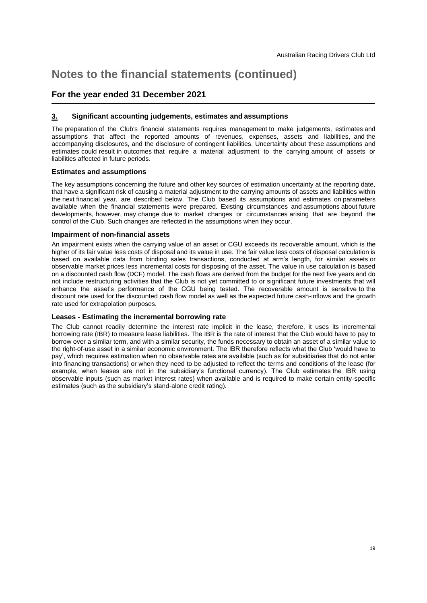## **For the year ended 31 December 2021**

## **3. Significant accounting judgements, estimates and assumptions**

The preparation of the Club's financial statements requires management to make judgements, estimates and assumptions that affect the reported amounts of revenues, expenses, assets and liabilities, and the accompanying disclosures, and the disclosure of contingent liabilities. Uncertainty about these assumptions and estimates could result in outcomes that require a material adjustment to the carrying amount of assets or liabilities affected in future periods.

### **Estimates and assumptions**

The key assumptions concerning the future and other key sources of estimation uncertainty at the reporting date, that have a significant risk of causing a material adjustment to the carrying amounts of assets and liabilities within the next financial year, are described below. The Club based its assumptions and estimates on parameters available when the financial statements were prepared. Existing circumstances and assumptions about future developments, however, may change due to market changes or circumstances arising that are beyond the control of the Club. Such changes are reflected in the assumptions when they occur.

#### **Impairment of non-financial assets**

An impairment exists when the carrying value of an asset or CGU exceeds its recoverable amount, which is the higher of its fair value less costs of disposal and its value in use. The fair value less costs of disposal calculation is based on available data from binding sales transactions, conducted at arm's length, for similar assets or observable market prices less incremental costs for disposing of the asset. The value in use calculation is based on a discounted cash flow (DCF) model. The cash flows are derived from the budget for the next five years and do not include restructuring activities that the Club is not yet committed to or significant future investments that will enhance the asset's performance of the CGU being tested. The recoverable amount is sensitive to the discount rate used for the discounted cash flow model as well as the expected future cash-inflows and the growth rate used for extrapolation purposes.

#### **Leases - Estimating the incremental borrowing rate**

The Club cannot readily determine the interest rate implicit in the lease, therefore, it uses its incremental borrowing rate (IBR) to measure lease liabilities. The IBR is the rate of interest that the Club would have to pay to borrow over a similar term, and with a similar security, the funds necessary to obtain an asset of a similar value to the right-of-use asset in a similar economic environment. The IBR therefore reflects what the Club 'would have to pay', which requires estimation when no observable rates are available (such as for subsidiaries that do not enter into financing transactions) or when they need to be adjusted to reflect the terms and conditions of the lease (for example, when leases are not in the subsidiary's functional currency). The Club estimates the IBR using observable inputs (such as market interest rates) when available and is required to make certain entity-specific estimates (such as the subsidiary's stand-alone credit rating).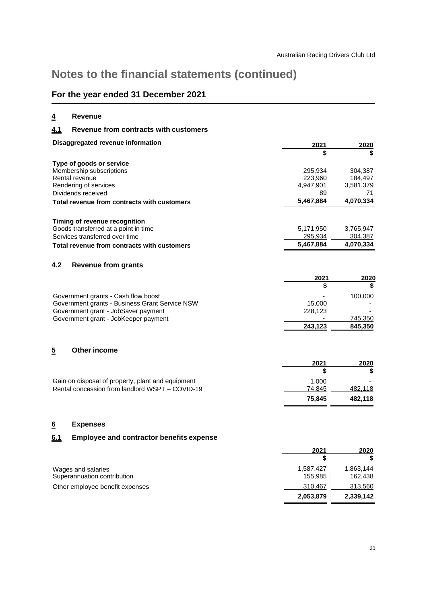**243,123 845,350**

# **Notes to the financial statements (continued)**

## **For the year ended 31 December 2021**

## **4.1 Revenue from contracts with customers**

**4 Revenue**

| Disaggregated revenue information                                     | 2021      | 2020      |
|-----------------------------------------------------------------------|-----------|-----------|
|                                                                       |           |           |
| Type of goods or service                                              |           |           |
| Membership subscriptions                                              | 295,934   | 304,387   |
| Rental revenue                                                        | 223,960   | 184,497   |
| Rendering of services                                                 | 4,947,901 | 3,581,379 |
| Dividends received                                                    | 89        | 71        |
| Total revenue from contracts with customers                           | 5,467,884 | 4,070,334 |
|                                                                       |           |           |
| Timing of revenue recognition<br>Goods transferred at a point in time | 5,171,950 | 3,765,947 |
| Services transferred over time                                        | 295,934   | 304,387   |
|                                                                       | 5,467,884 | 4,070,334 |
| Total revenue from contracts with customers                           |           |           |
| 4.2<br>Revenue from grants                                            |           |           |
|                                                                       | 2021      | 2020      |
|                                                                       | \$        |           |
| Government grants - Cash flow boost                                   |           | 100,000   |
| Government grants - Business Grant Service NSW                        | 15,000    |           |
| Government grant - JobSaver payment                                   | 228,123   |           |
| Government grant - JobKeeper payment                                  |           | 745,350   |

## **5 Other income**

|                                                   | 2021   | 2020    |
|---------------------------------------------------|--------|---------|
|                                                   |        |         |
| Gain on disposal of property, plant and equipment | 1.000  |         |
| Rental concession from landlord WSPT - COVID-19   | 74.845 | 482.118 |
|                                                   | 75.845 | 482.118 |

## **6 Expenses**

## **6.1 Employee and contractor benefits expense**

|                                 | 2021      | 2020      |
|---------------------------------|-----------|-----------|
|                                 |           |           |
| Wages and salaries              | 1,587,427 | 1,863,144 |
| Superannuation contribution     | 155.985   | 162.438   |
| Other employee benefit expenses | 310.467   | 313,560   |
|                                 | 2,053,879 | 2,339,142 |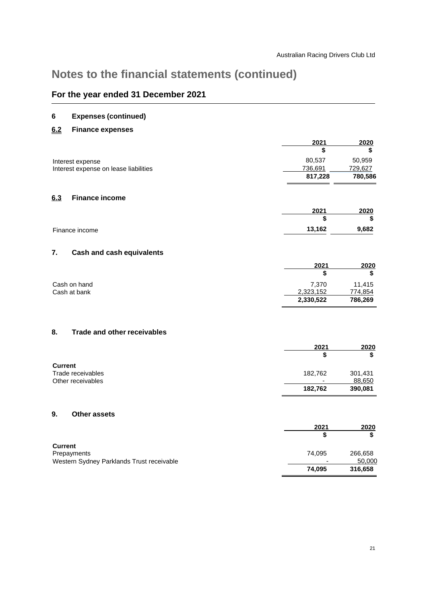# **For the year ended 31 December 2021**

| 6              | <b>Expenses (continued)</b>                              |           |                   |
|----------------|----------------------------------------------------------|-----------|-------------------|
| 6.2            | <b>Finance expenses</b>                                  |           |                   |
|                |                                                          | 2021      | 2020              |
|                |                                                          | \$        | \$                |
|                | Interest expense                                         | 80,537    | 50,959            |
|                | Interest expense on lease liabilities                    | 736,691   | 729,627           |
|                |                                                          | 817,228   | 780,586           |
| 6.3            | <b>Finance income</b>                                    |           |                   |
|                |                                                          | 2021      | 2020              |
|                |                                                          | \$        | \$                |
|                | Finance income                                           | 13,162    | 9,682             |
| 7.             | <b>Cash and cash equivalents</b>                         |           |                   |
|                |                                                          | 2021      | 2020              |
|                |                                                          | \$        | \$                |
|                | Cash on hand                                             | 7,370     | 11,415            |
|                | Cash at bank                                             | 2,323,152 | 774,854           |
|                |                                                          | 2,330,522 | 786,269           |
| 8.             | <b>Trade and other receivables</b>                       |           |                   |
|                |                                                          | 2021      | 2020              |
|                |                                                          | \$        | \$                |
| <b>Current</b> |                                                          |           |                   |
|                | Trade receivables                                        | 182,762   | 301,431           |
|                | Other receivables                                        | 182,762   | 88,650<br>390,081 |
|                |                                                          |           |                   |
| 9.             | <b>Other assets</b>                                      |           |                   |
|                |                                                          | 2021      | 2020              |
|                |                                                          | \$        | \$                |
| <b>Current</b> |                                                          |           |                   |
|                | Prepayments<br>Western Sydney Parklands Trust receivable | 74,095    | 266,658<br>50,000 |
|                |                                                          | 74,095    | 316,658           |
|                |                                                          |           |                   |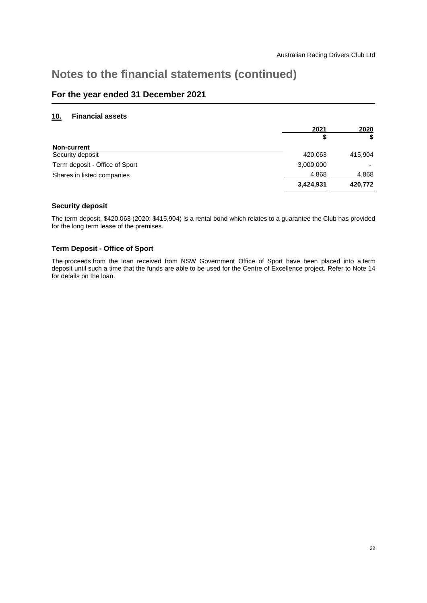## **For the year ended 31 December 2021**

## **10. Financial assets**

|                                | 2021      | 2020    |
|--------------------------------|-----------|---------|
|                                | \$        | \$      |
| Non-current                    |           |         |
| Security deposit               | 420,063   | 415,904 |
| Term deposit - Office of Sport | 3,000,000 | ٠       |
| Shares in listed companies     | 4,868     | 4,868   |
|                                | 3,424,931 | 420,772 |

## **Security deposit**

The term deposit, \$420,063 (2020: \$415,904) is a rental bond which relates to a guarantee the Club has provided for the long term lease of the premises.

## **Term Deposit - Office of Sport**

The proceeds from the loan received from NSW Government Office of Sport have been placed into a term deposit until such a time that the funds are able to be used for the Centre of Excellence project. Refer to Note 14 for details on the loan.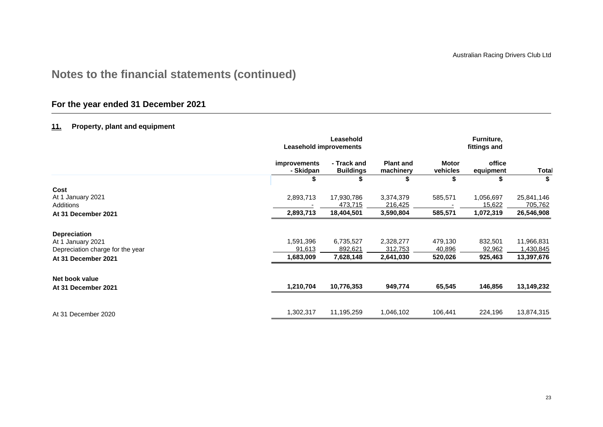## **For the year ended 31 December 2021**

## **11. Property, plant and equipment**

|                                  | Leasehold<br><b>Leasehold improvements</b> |                                 | Furniture,<br>fittings and    |                          |                     |              |
|----------------------------------|--------------------------------------------|---------------------------------|-------------------------------|--------------------------|---------------------|--------------|
|                                  | <i>improvements</i><br>- Skidpan           | - Track and<br><b>Buildings</b> | <b>Plant and</b><br>machinery | <b>Motor</b><br>vehicles | office<br>equipment | <b>Total</b> |
|                                  |                                            |                                 |                               | P.                       | s.                  | \$           |
| Cost                             |                                            |                                 |                               |                          |                     |              |
| At 1 January 2021                | 2,893,713                                  | 17,930,786                      | 3,374,379                     | 585,571                  | 1,056,697           | 25,841,146   |
| Additions                        |                                            | 473,715                         | 216,425                       |                          | 15,622              | 705,762      |
| At 31 December 2021              | 2,893,713                                  | 18,404,501                      | 3,590,804                     | 585,571                  | 1,072,319           | 26,546,908   |
| <b>Depreciation</b>              |                                            |                                 |                               |                          |                     |              |
| At 1 January 2021                | 1,591,396                                  | 6,735,527                       | 2,328,277                     | 479,130                  | 832,501             | 11,966,831   |
| Depreciation charge for the year | 91,613                                     | 892,621                         | 312,753                       | 40,896                   | 92,962              | ,430,845     |
| At 31 December 2021              | 1,683,009                                  | 7,628,148                       | 2,641,030                     | 520,026                  | 925,463             | 13,397,676   |
| Net book value                   |                                            |                                 |                               |                          |                     |              |
| At 31 December 2021              | 1,210,704                                  | 10,776,353                      | 949,774                       | 65,545                   | 146,856             | 13,149,232   |
|                                  | 1,302,317                                  | 11,195,259                      | 1,046,102                     | 106,441                  | 224,196             | 13,874,315   |
| At 31 December 2020              |                                            |                                 |                               |                          |                     |              |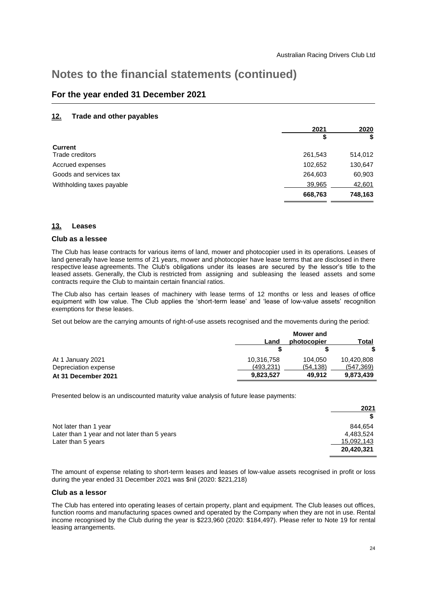## **For the year ended 31 December 2021**

## **12. Trade and other payables**

|                           | 2021    | 2020    |
|---------------------------|---------|---------|
|                           |         | \$      |
| <b>Current</b>            |         |         |
| Trade creditors           | 261,543 | 514,012 |
| Accrued expenses          | 102,652 | 130,647 |
| Goods and services tax    | 264,603 | 60,903  |
| Withholding taxes payable | 39,965  | 42,601  |
|                           | 668,763 | 748,163 |

## **13. Leases**

#### **Club as a lessee**

The Club has lease contracts for various items of land, mower and photocopier used in its operations. Leases of land generally have lease terms of 21 years, mower and photocopier have lease terms that are disclosed in there respective lease agreements. The Club's obligations under its leases are secured by the lessor's title to the leased assets. Generally, the Club is restricted from assigning and subleasing the leased assets and some contracts require the Club to maintain certain financial ratios.

The Club also has certain leases of machinery with lease terms of 12 months or less and leases of office equipment with low value. The Club applies the 'short-term lease' and 'lease of low-value assets' recognition exemptions for these leases.

Set out below are the carrying amounts of right-of-use assets recognised and the movements during the period:

|                      |            | <b>Mower</b> and |            |
|----------------------|------------|------------------|------------|
|                      | Land       | photocopier      | Total      |
|                      |            |                  |            |
| At 1 January 2021    | 10,316,758 | 104.050          | 10.420.808 |
| Depreciation expense | (493,231)  | (54, 138)        | (547, 369) |
| At 31 December 2021  | 9,823,527  | 49.912           | 9,873,439  |

Presented below is an undiscounted maturity value analysis of future lease payments:

|                                              | 2021       |
|----------------------------------------------|------------|
|                                              |            |
| Not later than 1 year                        | 844.654    |
| Later than 1 year and not later than 5 years | 4.483.524  |
| Later than 5 years                           | 15,092,143 |
|                                              | 20,420,321 |

The amount of expense relating to short-term leases and leases of low-value assets recognised in profit or loss during the year ended 31 December 2021 was \$nil (2020: \$221,218)

## **Club as a lessor**

The Club has entered into operating leases of certain property, plant and equipment. The Club leases out offices, function rooms and manufacturing spaces owned and operated by the Company when they are not in use. Rental income recognised by the Club during the year is \$223,960 (2020: \$184,497). Please refer to Note 19 for rental leasing arrangements.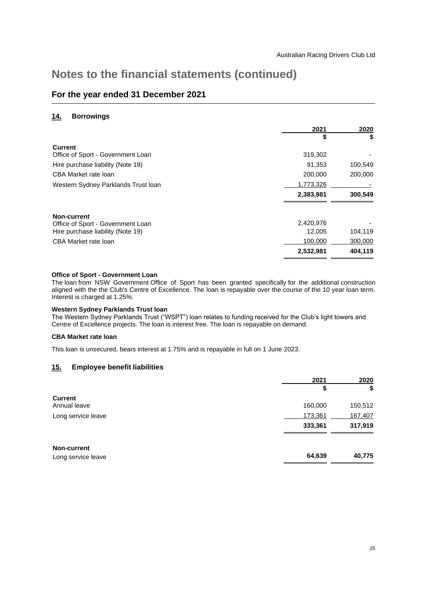## **For the year ended 31 December 2021**

## **14. Borrowings**

|                                     | 2021      | 2020    |
|-------------------------------------|-----------|---------|
|                                     | \$        | \$      |
| Current                             |           |         |
| Office of Sport - Government Loan   | 319,302   |         |
| Hire purchase liability (Note 19)   | 91,353    | 100,549 |
| CBA Market rate loan                | 200,000   | 200,000 |
| Western Sydney Parklands Trust Ioan | 1,773,326 |         |
|                                     | 2,383,981 | 300,549 |
| Non-current                         |           |         |
| Office of Sport - Government Loan   | 2,420,976 |         |
| Hire purchase liability (Note 19)   | 12,005    | 104,119 |
| CBA Market rate loan                | 100,000   | 300,000 |
|                                     | 2,532,981 | 404,119 |

#### **Office of Sport - Government Loan**

The loan from NSW Government Office of Sport has been granted specifically for the additional construction aligned with the the Club's Centre of Excellence. The loan is repayable over the course of the 10 year loan term. Interest is charged at 1.25%.

#### **Western Sydney Parklands Trust loan**

The Western Sydney Parklands Trust ("WSPT") loan relates to funding received for the Club's light towers and Centre of Excellence projects. The loan is interest free. The loan is repayable on demand.

### **CBA Market rate loan**

This loan is unsecured, bears interest at 1.75% and is repayable in full on 1 June 2023.

### **15. Employee benefit liabilities**

|                                   | 2021    | 2020    |
|-----------------------------------|---------|---------|
|                                   | \$      | \$      |
| Current<br>Annual leave           | 160,000 | 150,512 |
| Long service leave                | 173,361 | 167,407 |
|                                   | 333,361 | 317,919 |
| Non-current<br>Long service leave | 64,639  | 40,775  |
|                                   |         |         |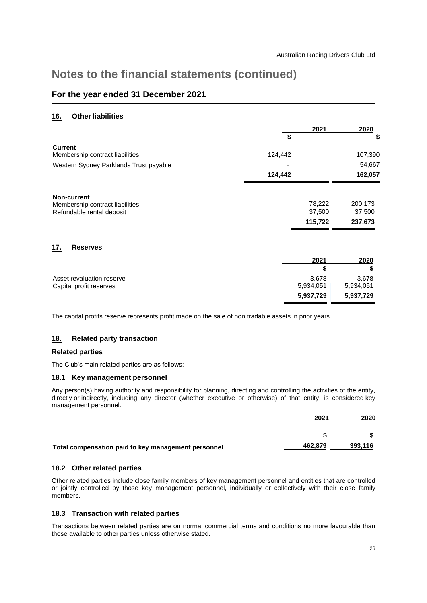## **For the year ended 31 December 2021**

## **16. Other liabilities**

|                                                   | 2021      | 2020      |
|---------------------------------------------------|-----------|-----------|
|                                                   | \$        | S         |
| <b>Current</b><br>Membership contract liabilities | 124,442   | 107,390   |
| Western Sydney Parklands Trust payable            |           | 54,667    |
|                                                   | 124,442   | 162,057   |
| <b>Non-current</b>                                |           |           |
| Membership contract liabilities                   | 78,222    | 200,173   |
| Refundable rental deposit                         | 37,500    | 37,500    |
|                                                   | 115,722   | 237,673   |
| <u> 17.</u><br><b>Reserves</b>                    |           |           |
|                                                   | 2021      | 2020      |
|                                                   | \$        | \$        |
| Asset revaluation reserve                         | 3,678     | 3,678     |
| Capital profit reserves                           | 5,934,051 | 5,934,051 |
|                                                   | 5,937,729 | 5,937,729 |

The capital profits reserve represents profit made on the sale of non tradable assets in prior years.

## **18. Related party transaction**

#### **Related parties**

The Club's main related parties are as follows:

#### **18.1 Key management personnel**

Any person(s) having authority and responsibility for planning, directing and controlling the activities of the entity, directly or indirectly, including any director (whether executive or otherwise) of that entity, is considered key management personnel.

|                                                     | 2021    | 2020    |
|-----------------------------------------------------|---------|---------|
|                                                     |         |         |
| Total compensation paid to key management personnel | 462,879 | 393,116 |

### **18.2 Other related parties**

Other related parties include close family members of key management personnel and entities that are controlled or jointly controlled by those key management personnel, individually or collectively with their close family members.

### **18.3 Transaction with related parties**

Transactions between related parties are on normal commercial terms and conditions no more favourable than those available to other parties unless otherwise stated.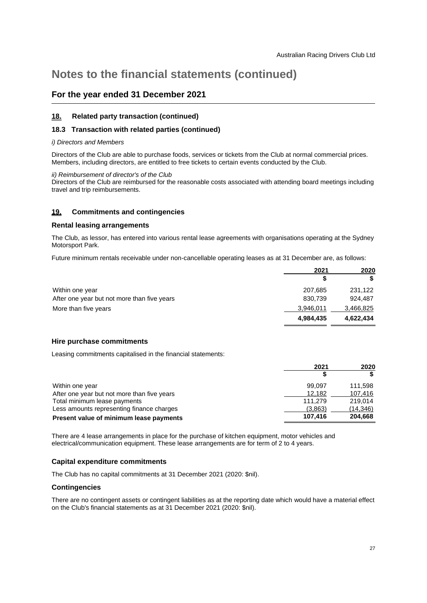## **For the year ended 31 December 2021**

## **18. Related party transaction (continued)**

### **18.3 Transaction with related parties (continued)**

#### *i) Directors and Members*

Directors of the Club are able to purchase foods, services or tickets from the Club at normal commercial prices. Members, including directors, are entitled to free tickets to certain events conducted by the Club.

*ii) Reimbursement of director's of the Club*

Directors of the Club are reimbursed for the reasonable costs associated with attending board meetings including travel and trip reimbursements.

## **19. Commitments and contingencies**

#### **Rental leasing arrangements**

The Club, as lessor, has entered into various rental lease agreements with organisations operating at the Sydney Motorsport Park.

Future minimum rentals receivable under non-cancellable operating leases as at 31 December are, as follows:

|                                             | 2021      | 2020      |
|---------------------------------------------|-----------|-----------|
|                                             |           |           |
| Within one year                             | 207,685   | 231,122   |
| After one year but not more than five years | 830,739   | 924,487   |
| More than five years                        | 3,946,011 | 3,466,825 |
|                                             | 4,984,435 | 4,622,434 |

### **Hire purchase commitments**

Leasing commitments capitalised in the financial statements:

|                                             | 2021    | 2020     |
|---------------------------------------------|---------|----------|
|                                             |         |          |
| Within one year                             | 99.097  | 111.598  |
| After one year but not more than five years | 12,182  | 107,416  |
| Total minimum lease payments                | 111.279 | 219.014  |
| Less amounts representing finance charges   | (3,863) | (14,346) |
| Present value of minimum lease payments     | 107,416 | 204,668  |

There are 4 lease arrangements in place for the purchase of kitchen equipment, motor vehicles and electrical/communication equipment. These lease arrangements are for term of 2 to 4 years.

### **Capital expenditure commitments**

The Club has no capital commitments at 31 December 2021 (2020: \$nil).

### **Contingencies**

There are no contingent assets or contingent liabilities as at the reporting date which would have a material effect on the Club's financial statements as at 31 December 2021 (2020: \$nil).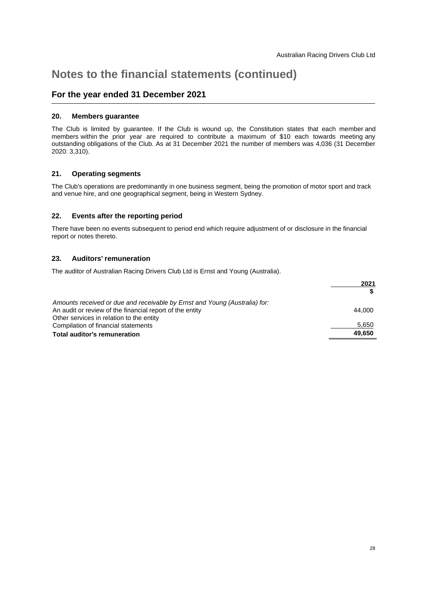## **For the year ended 31 December 2021**

## **20. Members guarantee**

The Club is limited by guarantee. If the Club is wound up, the Constitution states that each member and members within the prior year are required to contribute a maximum of \$10 each towards meeting any outstanding obligations of the Club. As at 31 December 2021 the number of members was 4,036 (31 December 2020: 3,310).

## **21. Operating segments**

The Club's operations are predominantly in one business segment, being the promotion of motor sport and track and venue hire, and one geographical segment, being in Western Sydney.

## **22. Events after the reporting period**

There have been no events subsequent to period end which require adjustment of or disclosure in the financial report or notes thereto.

## **23. Auditors' remuneration**

The auditor of Australian Racing Drivers Club Ltd is Ernst and Young (Australia).

|                                                                            | 2021   |
|----------------------------------------------------------------------------|--------|
|                                                                            | S.     |
| Amounts received or due and receivable by Ernst and Young (Australia) for: |        |
| An audit or review of the financial report of the entity                   | 44.000 |
| Other services in relation to the entity                                   |        |
| Compilation of financial statements                                        | 5,650  |
| Total auditor's remuneration                                               | 49.650 |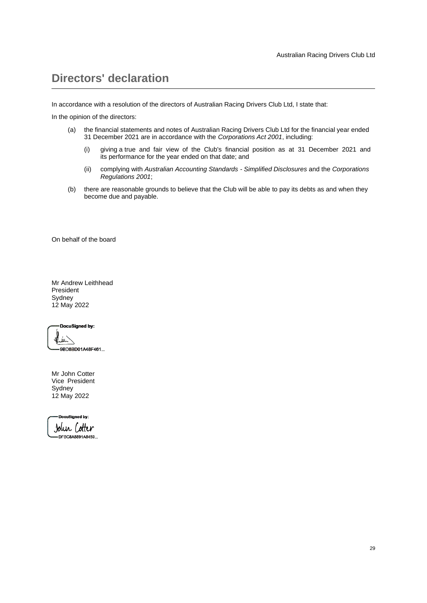# **Directors' declaration**

In accordance with a resolution of the directors of Australian Racing Drivers Club Ltd, I state that:

In the opinion of the directors:

- (a) the financial statements and notes of Australian Racing Drivers Club Ltd for the financial year ended 31 December 2021 are in accordance with the *Corporations Act 2001*, including:
	- (i) giving a true and fair view of the Club's financial position as at 31 December 2021 and its performance for the year ended on that date; and
	- (ii) complying with *Australian Accounting Standards - Simplified Disclosures* and the *Corporations Regulations 2001*;
- (b) there are reasonable grounds to believe that the Club will be able to pay its debts as and when they become due and payable.

On behalf of the board

Mr Andrew Leithhead President Sydney 12 May 2022



Mr John Cotter Vice President Sydney 12 May 2022

DocuSigned by: John Cotter -DFBC8A8891A8459...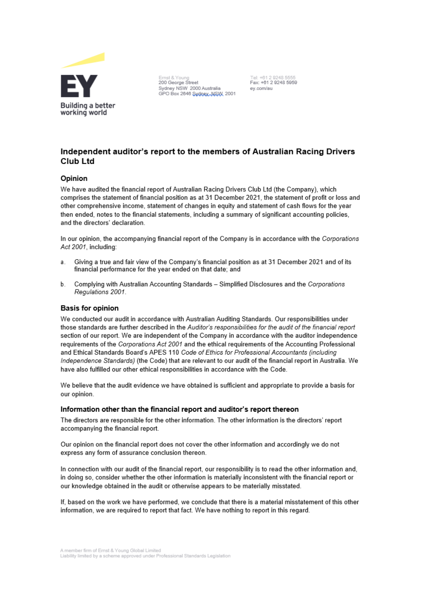

Frnst & Youn 200 George Street Sydney NSW 2000 Australia<br>GPO Box 2646 Sydney NSW 2001

Tel: +81 2 9248 5555 Fax: +61 2 9248 5959 ey.com/au

## Independent auditor's report to the members of Australian Racing Drivers Club Ltd

## Opinion

We have audited the financial report of Australian Racing Drivers Club Ltd (the Company), which comprises the statement of financial position as at 31 December 2021, the statement of profit or loss and other comprehensive income, statement of changes in equity and statement of cash flows for the year then ended, notes to the financial statements, including a summary of significant accounting policies, and the directors' declaration.

In our opinion, the accompanying financial report of the Company is in accordance with the Corporations Act 2001, including:

- Giving a true and fair view of the Company's financial position as at 31 December 2021 and of its a. financial performance for the year ended on that date; and
- <sub>b</sub> Complying with Australian Accounting Standards - Simplified Disclosures and the Corporations Regulations 2001.

### **Basis for opinion**

We conducted our audit in accordance with Australian Auditing Standards. Our responsibilities under those standards are further described in the Auditor's responsibilities for the audit of the financial report section of our report. We are independent of the Company in accordance with the auditor independence requirements of the Corporations Act 2001 and the ethical requirements of the Accounting Professional and Ethical Standards Board's APES 110 Code of Ethics for Professional Accountants (including Independence Standards) (the Code) that are relevant to our audit of the financial report in Australia. We have also fulfilled our other ethical responsibilities in accordance with the Code.

We believe that the audit evidence we have obtained is sufficient and appropriate to provide a basis for our opinion.

### Information other than the financial report and auditor's report thereon

The directors are responsible for the other information. The other information is the directors' report accompanying the financial report.

Our opinion on the financial report does not cover the other information and accordingly we do not express any form of assurance conclusion thereon.

In connection with our audit of the financial report, our responsibility is to read the other information and, in doing so, consider whether the other information is materially inconsistent with the financial report or our knowledge obtained in the audit or otherwise appears to be materially misstated.

If, based on the work we have performed, we conclude that there is a material misstatement of this other information, we are required to report that fact. We have nothing to report in this regard.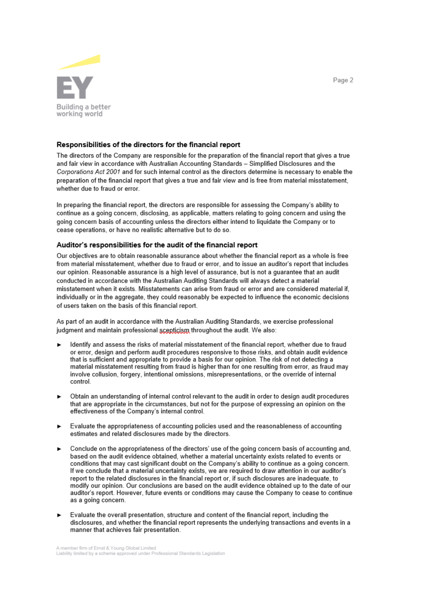

## Responsibilities of the directors for the financial report

The directors of the Company are responsible for the preparation of the financial report that gives a true and fair view in accordance with Australian Accounting Standards - Simplified Disclosures and the Corporations Act 2001 and for such internal control as the directors determine is necessary to enable the preparation of the financial report that gives a true and fair view and is free from material misstatement, whether due to fraud or error.

In preparing the financial report, the directors are responsible for assessing the Company's ability to continue as a going concern, disclosing, as applicable, matters relating to going concern and using the going concern basis of accounting unless the directors either intend to liquidate the Company or to cease operations, or have no realistic alternative but to do so.

### Auditor's responsibilities for the audit of the financial report

Our objectives are to obtain reasonable assurance about whether the financial report as a whole is free from material misstatement, whether due to fraud or error, and to issue an auditor's report that includes our opinion. Reasonable assurance is a high level of assurance, but is not a guarantee that an audit conducted in accordance with the Australian Auditing Standards will always detect a material misstatement when it exists. Misstatements can arise from fraud or error and are considered material if, individually or in the aggregate, they could reasonably be expected to influence the economic decisions of users taken on the basis of this financial report.

As part of an audit in accordance with the Australian Auditing Standards, we exercise professional judgment and maintain professional scepticism throughout the audit. We also:

- Identify and assess the risks of material misstatement of the financial report, whether due to fraud or error, design and perform audit procedures responsive to those risks, and obtain audit evidence that is sufficient and appropriate to provide a basis for our opinion. The risk of not detecting a material misstatement resulting from fraud is higher than for one resulting from error, as fraud may involve collusion, forgery, intentional omissions, misrepresentations, or the override of internal control.
- Obtain an understanding of internal control relevant to the audit in order to design audit procedures that are appropriate in the circumstances, but not for the purpose of expressing an opinion on the effectiveness of the Company's internal control.
- Evaluate the appropriateness of accounting policies used and the reasonableness of accounting estimates and related disclosures made by the directors.
- Conclude on the appropriateness of the directors' use of the going concern basis of accounting and, based on the audit evidence obtained, whether a material uncertainty exists related to events or conditions that may cast significant doubt on the Company's ability to continue as a going concern. If we conclude that a material uncertainty exists, we are required to draw attention in our auditor's report to the related disclosures in the financial report or, if such disclosures are inadequate, to modify our opinion. Our conclusions are based on the audit evidence obtained up to the date of our auditor's report. However, future events or conditions may cause the Company to cease to continue as a going concern.
- Evaluate the overall presentation, structure and content of the financial report, including the ь disclosures, and whether the financial report represents the underlying transactions and events in a manner that achieves fair presentation.